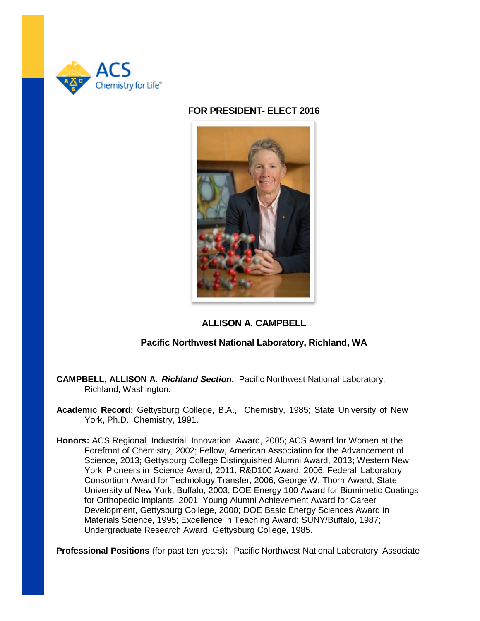

### **FOR PRESIDENT- ELECT 2016**



# **ALLISON A. CAMPBELL**

## **Pacific Northwest National Laboratory, Richland, WA**

- **CAMPBELL, ALLISON A.** *Richland Section***.** Pacific Northwest National Laboratory, Richland, Washington.
- **Academic Record:** Gettysburg College, B.A., Chemistry, 1985; State University of New York, Ph.D., Chemistry, 1991.
- **Honors:** ACS Regional Industrial Innovation Award, 2005; ACS Award for Women at the Forefront of Chemistry, 2002; Fellow, American Association for the Advancement of Science, 2013; Gettysburg College Distinguished Alumni Award, 2013; Western New York Pioneers in Science Award, 2011; R&D100 Award, 2006; Federal Laboratory Consortium Award for Technology Transfer, 2006; George W. Thorn Award, State University of New York, Buffalo, 2003; DOE Energy 100 Award for Biomimetic Coatings for Orthopedic Implants, 2001; Young Alumni Achievement Award for Career Development, Gettysburg College, 2000; DOE Basic Energy Sciences Award in Materials Science, 1995; Excellence in Teaching Award; SUNY/Buffalo, 1987; Undergraduate Research Award, Gettysburg College, 1985.

**Professional Positions** (for past ten years)**:** Pacific Northwest National Laboratory, Associate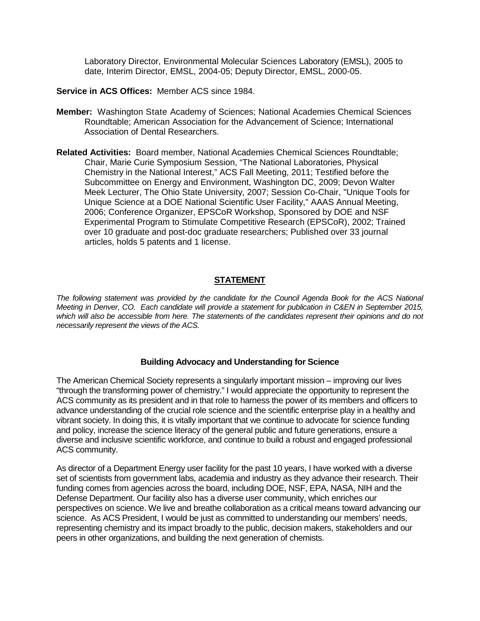Laboratory Director, Environmental Molecular Sciences Laboratory (EMSL), 2005 to date, Interim Director, EMSL, 2004-05; Deputy Director, EMSL, 2000-05.

**Service in ACS Offices:** Member ACS since 1984.

- **Member:** Washington State Academy of Sciences; National Academies Chemical Sciences Roundtable; American Association for the Advancement of Science; International Association of Dental Researchers.
- **Related Activities:** Board member, National Academies Chemical Sciences Roundtable; Chair, Marie Curie Symposium Session, "The National Laboratories, Physical Chemistry in the National Interest," ACS Fall Meeting, 2011; Testified before the Subcommittee on Energy and Environment, Washington DC, 2009; Devon Walter Meek Lecturer, The Ohio State University, 2007; Session Co-Chair, "Unique Tools for Unique Science at a DOE National Scientific User Facility," AAAS Annual Meeting, 2006; Conference Organizer, EPSCoR Workshop, Sponsored by DOE and NSF Experimental Program to Stimulate Competitive Research (EPSCoR), 2002; Trained over 10 graduate and post-doc graduate researchers; Published over 33 journal articles, holds 5 patents and 1 license.

## **STATEMENT**

*The following statement was provided by the candidate for the Council Agenda Book for the ACS National Meeting in Denver, CO. Each candidate will provide a statement for publication in C&EN in September 2015, which will also be accessible from here. The statements of the candidates represent their opinions and do not necessarily represent the views of the ACS.*

### **Building Advocacy and Understanding for Science**

The American Chemical Society represents a singularly important mission – improving our lives "through the transforming power of chemistry." I would appreciate the opportunity to represent the ACS community as its president and in that role to harness the power of its members and officers to advance understanding of the crucial role science and the scientific enterprise play in a healthy and vibrant society. In doing this, it is vitally important that we continue to advocate for science funding and policy, increase the science literacy of the general public and future generations, ensure a diverse and inclusive scientific workforce, and continue to build a robust and engaged professional ACS community.

As director of a Department Energy user facility for the past 10 years, I have worked with a diverse set of scientists from government labs, academia and industry as they advance their research. Their funding comes from agencies across the board, including DOE, NSF, EPA, NASA, NIH and the Defense Department. Our facility also has a diverse user community, which enriches our perspectives on science. We live and breathe collaboration as a critical means toward advancing our science. As ACS President, I would be just as committed to understanding our members' needs, representing chemistry and its impact broadly to the public, decision makers, stakeholders and our peers in other organizations, and building the next generation of chemists.